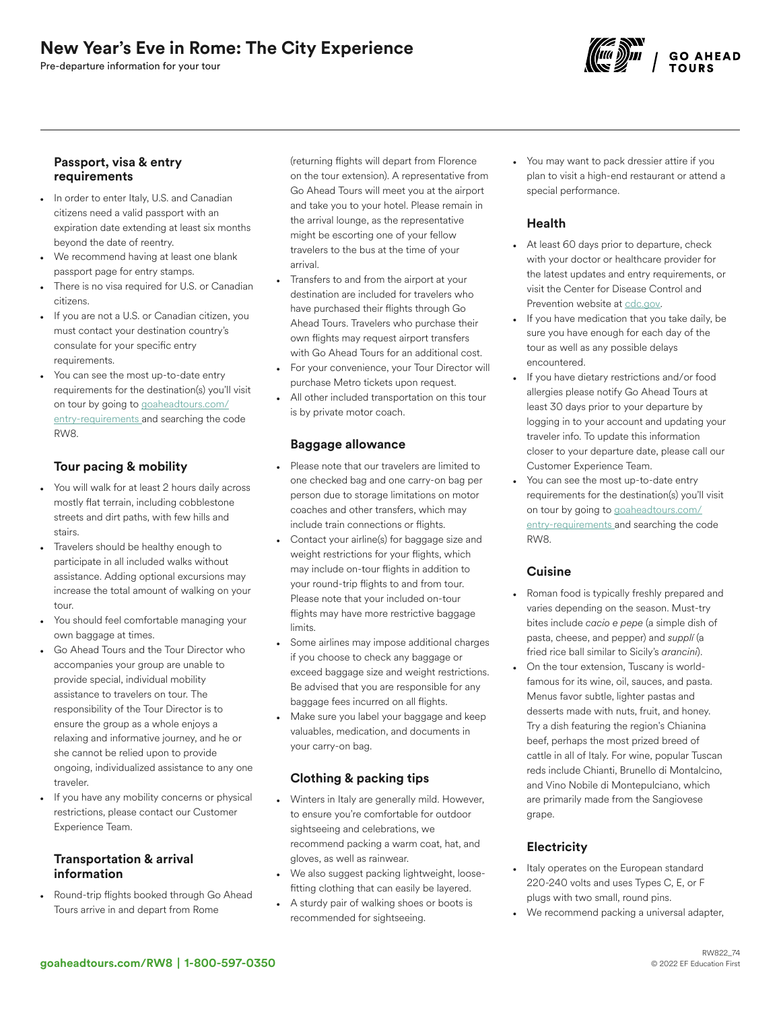# New Year's Eve in Rome: The City Experience

Pre-departure information for your tour



#### Passport, visa & entry requirements

- In order to enter Italy, U.S. and Canadian citizens need a valid passport with an expiration date extending at least six months beyond the date of reentry.
- We recommend having at least one blank passport page for entry stamps.
- There is no visa required for U.S. or Canadian citizens.
- If you are not a U.S. or Canadian citizen, you must contact your destination country's consulate for your specific entry requirements.
- You can see the most up-to-date entry requirements for the destination(s) you'll visit on tour by going to [goaheadtours.com/](/entry-requirements?tourCode=RW8) [entry-requirements](/entry-requirements?tourCode=RW8) and searching the code RW8.

# Tour pacing & mobility

- You will walk for at least 2 hours daily across mostly flat terrain, including cobblestone streets and dirt paths, with few hills and stairs.
- Travelers should be healthy enough to participate in all included walks without assistance. Adding optional excursions may increase the total amount of walking on your tour.
- You should feel comfortable managing your own baggage at times.
- Go Ahead Tours and the Tour Director who accompanies your group are unable to provide special, individual mobility assistance to travelers on tour. The responsibility of the Tour Director is to ensure the group as a whole enjoys a relaxing and informative journey, and he or she cannot be relied upon to provide ongoing, individualized assistance to any one traveler.
- If you have any mobility concerns or physical restrictions, please contact our Customer Experience Team.

#### Transportation & arrival information

• Round-trip flights booked through Go Ahead Tours arrive in and depart from Rome

(returning flights will depart from Florence on the tour extension). A representative from Go Ahead Tours will meet you at the airport and take you to your hotel. Please remain in the arrival lounge, as the representative might be escorting one of your fellow travelers to the bus at the time of your arrival.

- Transfers to and from the airport at your destination are included for travelers who have purchased their flights through Go Ahead Tours. Travelers who purchase their own flights may request airport transfers with Go Ahead Tours for an additional cost.
- For your convenience, your Tour Director will purchase Metro tickets upon request.
- All other included transportation on this tour is by private motor coach.

#### Baggage allowance

- Please note that our travelers are limited to one checked bag and one carry-on bag per person due to storage limitations on motor coaches and other transfers, which may include train connections or flights.
- Contact your airline(s) for baggage size and weight restrictions for your flights, which may include on-tour flights in addition to your round-trip flights to and from tour. Please note that your included on-tour flights may have more restrictive baggage limits.
- Some airlines may impose additional charges if you choose to check any baggage or exceed baggage size and weight restrictions. Be advised that you are responsible for any baggage fees incurred on all flights.
- Make sure you label your baggage and keep valuables, medication, and documents in your carry-on bag.

# Clothing & packing tips

- Winters in Italy are generally mild. However, to ensure you're comfortable for outdoor sightseeing and celebrations, we recommend packing a warm coat, hat, and gloves, as well as rainwear.
- We also suggest packing lightweight, loosefitting clothing that can easily be layered.
- A sturdy pair of walking shoes or boots is recommended for sightseeing.

You may want to pack dressier attire if you plan to visit a high-end restaurant or attend a special performance.

# Health

- At least 60 days prior to departure, check with your doctor or healthcare provider for the latest updates and entry requirements, or visit the Center for Disease Control and Prevention website at [cdc.gov.](https://www.cdc.gov/)
- If you have medication that you take daily, be sure you have enough for each day of the tour as well as any possible delays encountered.
- If you have dietary restrictions and/or food allergies please notify Go Ahead Tours at least 30 days prior to your departure by logging in to your account and updating your traveler info. To update this information closer to your departure date, please call our Customer Experience Team.
- You can see the most up-to-date entry requirements for the destination(s) you'll visit on tour by going to [goaheadtours.com/](/entry-requirements?tourCode=RW8) [entry-requirements](/entry-requirements?tourCode=RW8) and searching the code RW8.

# **Cuisine**

- Roman food is typically freshly prepared and varies depending on the season. Must-try bites include *cacio e pepe* (a simple dish of pasta, cheese, and pepper) and *supplí* (a fried rice ball similar to Sicily's *arancini*).
- On the tour extension, Tuscany is worldfamous for its wine, oil, sauces, and pasta. Menus favor subtle, lighter pastas and desserts made with nuts, fruit, and honey. Try a dish featuring the region's Chianina beef, perhaps the most prized breed of cattle in all of Italy. For wine, popular Tuscan reds include Chianti, Brunello di Montalcino, and Vino Nobile di Montepulciano, which are primarily made from the Sangiovese grape.

# **Electricity**

- Italy operates on the European standard 220-240 volts and uses Types C, E, or F plugs with two small, round pins.
- We recommend packing a universal adapter,